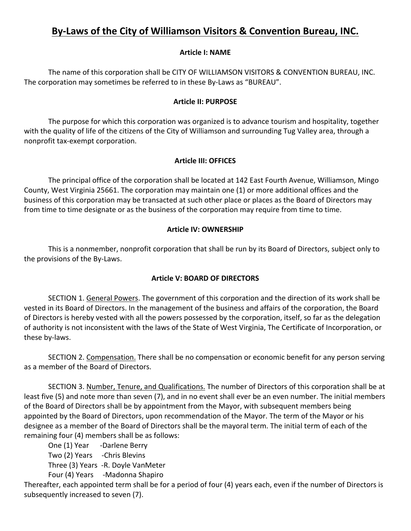# **By-Laws of the City of Williamson Visitors & Convention Bureau, INC.**

## **Article I: NAME**

The name of this corporation shall be CITY OF WILLIAMSON VISITORS & CONVENTION BUREAU, INC. The corporation may sometimes be referred to in these By-Laws as "BUREAU".

#### **Article II: PURPOSE**

The purpose for which this corporation was organized is to advance tourism and hospitality, together with the quality of life of the citizens of the City of Williamson and surrounding Tug Valley area, through a nonprofit tax-exempt corporation.

## **Article III: OFFICES**

The principal office of the corporation shall be located at 142 East Fourth Avenue, Williamson, Mingo County, West Virginia 25661. The corporation may maintain one (1) or more additional offices and the business of this corporation may be transacted at such other place or places as the Board of Directors may from time to time designate or as the business of the corporation may require from time to time.

#### **Article IV: OWNERSHIP**

This is a nonmember, nonprofit corporation that shall be run by its Board of Directors, subject only to the provisions of the By-Laws.

## **Article V: BOARD OF DIRECTORS**

SECTION 1. General Powers. The government of this corporation and the direction of its work shall be vested in its Board of Directors. In the management of the business and affairs of the corporation, the Board of Directors is hereby vested with all the powers possessed by the corporation, itself, so far as the delegation of authority is not inconsistent with the laws of the State of West Virginia, The Certificate of Incorporation, or these by-laws.

SECTION 2. Compensation. There shall be no compensation or economic benefit for any person serving as a member of the Board of Directors.

SECTION 3. Number, Tenure, and Qualifications. The number of Directors of this corporation shall be at least five (5) and note more than seven (7), and in no event shall ever be an even number. The initial members of the Board of Directors shall be by appointment from the Mayor, with subsequent members being appointed by the Board of Directors, upon recommendation of the Mayor. The term of the Mayor or his designee as a member of the Board of Directors shall be the mayoral term. The initial term of each of the remaining four (4) members shall be as follows:

One (1) Year -Darlene Berry

Two (2) Years -Chris Blevins

Three (3) Years -R. Doyle VanMeter

Four (4) Years -Madonna Shapiro

Thereafter, each appointed term shall be for a period of four (4) years each, even if the number of Directors is subsequently increased to seven (7).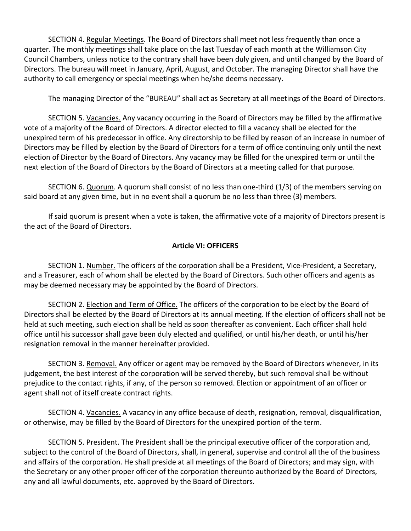SECTION 4. Regular Meetings. The Board of Directors shall meet not less frequently than once a quarter. The monthly meetings shall take place on the last Tuesday of each month at the Williamson City Council Chambers, unless notice to the contrary shall have been duly given, and until changed by the Board of Directors. The bureau will meet in January, April, August, and October. The managing Director shall have the authority to call emergency or special meetings when he/she deems necessary.

The managing Director of the "BUREAU" shall act as Secretary at all meetings of the Board of Directors.

SECTION 5. Vacancies. Any vacancy occurring in the Board of Directors may be filled by the affirmative vote of a majority of the Board of Directors. A director elected to fill a vacancy shall be elected for the unexpired term of his predecessor in office. Any directorship to be filled by reason of an increase in number of Directors may be filled by election by the Board of Directors for a term of office continuing only until the next election of Director by the Board of Directors. Any vacancy may be filled for the unexpired term or until the next election of the Board of Directors by the Board of Directors at a meeting called for that purpose.

SECTION 6. Quorum. A quorum shall consist of no less than one-third (1/3) of the members serving on said board at any given time, but in no event shall a quorum be no less than three (3) members.

If said quorum is present when a vote is taken, the affirmative vote of a majority of Directors present is the act of the Board of Directors.

# **Article VI: OFFICERS**

SECTION 1. Number. The officers of the corporation shall be a President, Vice-President, a Secretary, and a Treasurer, each of whom shall be elected by the Board of Directors. Such other officers and agents as may be deemed necessary may be appointed by the Board of Directors.

SECTION 2. Election and Term of Office. The officers of the corporation to be elect by the Board of Directors shall be elected by the Board of Directors at its annual meeting. If the election of officers shall not be held at such meeting, such election shall be held as soon thereafter as convenient. Each officer shall hold office until his successor shall gave been duly elected and qualified, or until his/her death, or until his/her resignation removal in the manner hereinafter provided.

SECTION 3. Removal. Any officer or agent may be removed by the Board of Directors whenever, in its judgement, the best interest of the corporation will be served thereby, but such removal shall be without prejudice to the contact rights, if any, of the person so removed. Election or appointment of an officer or agent shall not of itself create contract rights.

SECTION 4. Vacancies. A vacancy in any office because of death, resignation, removal, disqualification, or otherwise, may be filled by the Board of Directors for the unexpired portion of the term.

SECTION 5. President. The President shall be the principal executive officer of the corporation and, subject to the control of the Board of Directors, shall, in general, supervise and control all the of the business and affairs of the corporation. He shall preside at all meetings of the Board of Directors; and may sign, with the Secretary or any other proper officer of the corporation thereunto authorized by the Board of Directors, any and all lawful documents, etc. approved by the Board of Directors.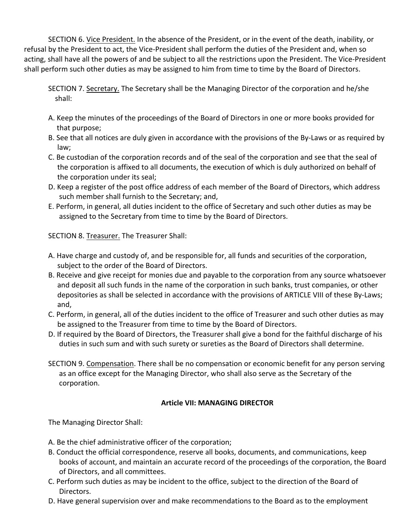SECTION 6. Vice President. In the absence of the President, or in the event of the death, inability, or refusal by the President to act, the Vice-President shall perform the duties of the President and, when so acting, shall have all the powers of and be subject to all the restrictions upon the President. The Vice-President shall perform such other duties as may be assigned to him from time to time by the Board of Directors.

SECTION 7. Secretary. The Secretary shall be the Managing Director of the corporation and he/she shall:

- A. Keep the minutes of the proceedings of the Board of Directors in one or more books provided for that purpose;
- B. See that all notices are duly given in accordance with the provisions of the By-Laws or as required by law;
- C. Be custodian of the corporation records and of the seal of the corporation and see that the seal of the corporation is affixed to all documents, the execution of which is duly authorized on behalf of the corporation under its seal;
- D. Keep a register of the post office address of each member of the Board of Directors, which address such member shall furnish to the Secretary; and,
- E. Perform, in general, all duties incident to the office of Secretary and such other duties as may be assigned to the Secretary from time to time by the Board of Directors.

SECTION 8. Treasurer. The Treasurer Shall:

- A. Have charge and custody of, and be responsible for, all funds and securities of the corporation, subject to the order of the Board of Directors.
- B. Receive and give receipt for monies due and payable to the corporation from any source whatsoever and deposit all such funds in the name of the corporation in such banks, trust companies, or other depositories as shall be selected in accordance with the provisions of ARTICLE VIII of these By-Laws; and,
- C. Perform, in general, all of the duties incident to the office of Treasurer and such other duties as may be assigned to the Treasurer from time to time by the Board of Directors.
- D. If required by the Board of Directors, the Treasurer shall give a bond for the faithful discharge of his duties in such sum and with such surety or sureties as the Board of Directors shall determine.
- SECTION 9. Compensation. There shall be no compensation or economic benefit for any person serving as an office except for the Managing Director, who shall also serve as the Secretary of the corporation.

## **Article VII: MANAGING DIRECTOR**

The Managing Director Shall:

- A. Be the chief administrative officer of the corporation;
- B. Conduct the official correspondence, reserve all books, documents, and communications, keep books of account, and maintain an accurate record of the proceedings of the corporation, the Board of Directors, and all committees.
- C. Perform such duties as may be incident to the office, subject to the direction of the Board of Directors.
- D. Have general supervision over and make recommendations to the Board as to the employment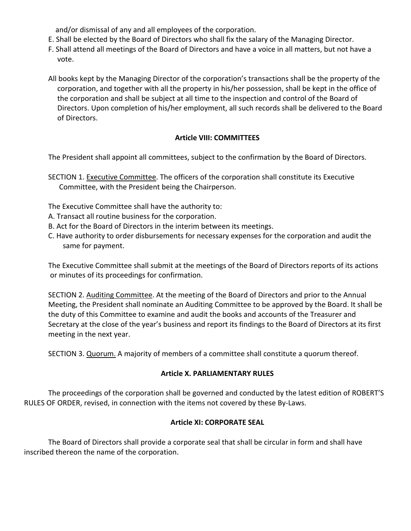and/or dismissal of any and all employees of the corporation.

- E. Shall be elected by the Board of Directors who shall fix the salary of the Managing Director.
- F. Shall attend all meetings of the Board of Directors and have a voice in all matters, but not have a vote.
- All books kept by the Managing Director of the corporation's transactions shall be the property of the corporation, and together with all the property in his/her possession, shall be kept in the office of the corporation and shall be subject at all time to the inspection and control of the Board of Directors. Upon completion of his/her employment, all such records shall be delivered to the Board of Directors.

# **Article VIII: COMMITTEES**

The President shall appoint all committees, subject to the confirmation by the Board of Directors.

SECTION 1. Executive Committee. The officers of the corporation shall constitute its Executive Committee, with the President being the Chairperson.

The Executive Committee shall have the authority to:

- A. Transact all routine business for the corporation.
- B. Act for the Board of Directors in the interim between its meetings.
- C. Have authority to order disbursements for necessary expenses for the corporation and audit the same for payment.

The Executive Committee shall submit at the meetings of the Board of Directors reports of its actions or minutes of its proceedings for confirmation.

SECTION 2. Auditing Committee. At the meeting of the Board of Directors and prior to the Annual Meeting, the President shall nominate an Auditing Committee to be approved by the Board. It shall be the duty of this Committee to examine and audit the books and accounts of the Treasurer and Secretary at the close of the year's business and report its findings to the Board of Directors at its first meeting in the next year.

SECTION 3. Quorum. A majority of members of a committee shall constitute a quorum thereof.

## **Article X. PARLIAMENTARY RULES**

The proceedings of the corporation shall be governed and conducted by the latest edition of ROBERT'S RULES OF ORDER, revised, in connection with the items not covered by these By-Laws.

## **Article XI: CORPORATE SEAL**

The Board of Directors shall provide a corporate seal that shall be circular in form and shall have inscribed thereon the name of the corporation.